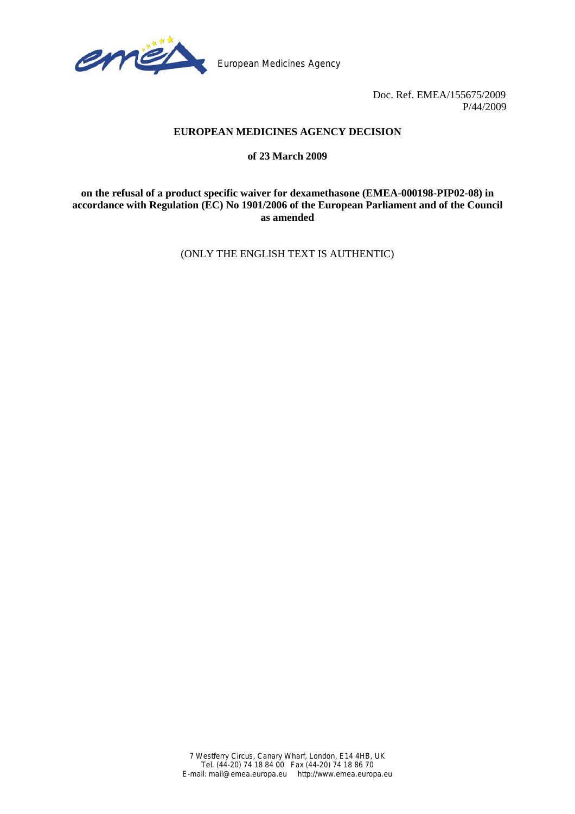

European Medicines Agency

Doc. Ref. EMEA/155675/2009 P/44/2009

# **EUROPEAN MEDICINES AGENCY DECISION**

#### **of 23 March 2009**

**on the refusal of a product specific waiver for dexamethasone (EMEA-000198-PIP02-08) in accordance with Regulation (EC) No 1901/2006 of the European Parliament and of the Council as amended** 

(ONLY THE ENGLISH TEXT IS AUTHENTIC)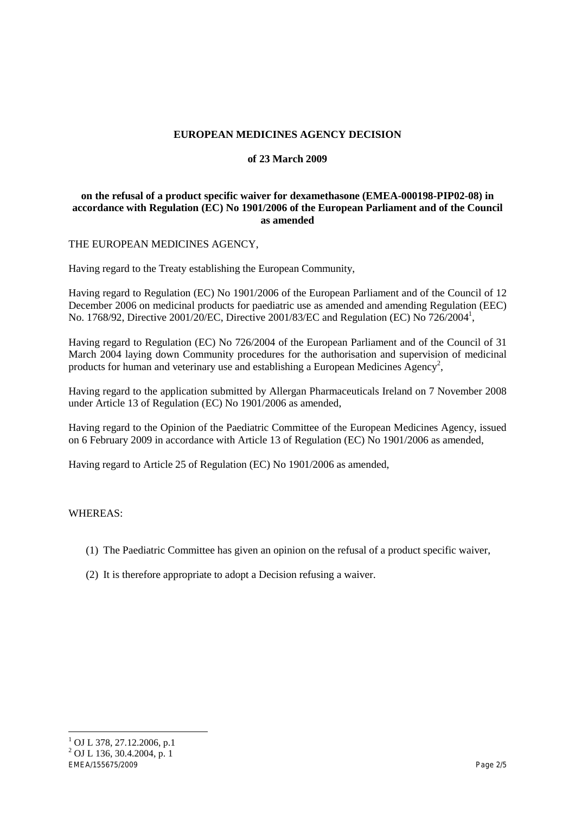# **EUROPEAN MEDICINES AGENCY DECISION**

#### **of 23 March 2009**

#### **on the refusal of a product specific waiver for dexamethasone (EMEA-000198-PIP02-08) in accordance with Regulation (EC) No 1901/2006 of the European Parliament and of the Council as amended**

THE EUROPEAN MEDICINES AGENCY,

Having regard to the Treaty establishing the European Community,

Having regard to Regulation (EC) No 1901/2006 of the European Parliament and of the Council of 12 December 2006 on medicinal products for paediatric use as amended and amending Regulation (EEC) No. 1768/92, Directive 2001/20/EC, Directive 2001/83/EC and Regulation (EC) No 726/2004<sup>1</sup>,

Having regard to Regulation (EC) No 726/2004 of the European Parliament and of the Council of 31 March 2004 laying down Community procedures for the authorisation and supervision of medicinal products for human and veterinary use and establishing a European Medicines  $A$ gency<sup>2</sup>,

Having regard to the application submitted by Allergan Pharmaceuticals Ireland on 7 November 2008 under Article 13 of Regulation (EC) No 1901/2006 as amended,

Having regard to the Opinion of the Paediatric Committee of the European Medicines Agency, issued on 6 February 2009 in accordance with Article 13 of Regulation (EC) No 1901/2006 as amended,

Having regard to Article 25 of Regulation (EC) No 1901/2006 as amended,

#### WHEREAS:

- (1) The Paediatric Committee has given an opinion on the refusal of a product specific waiver,
- (2) It is therefore appropriate to adopt a Decision refusing a waiver.

l

 $^{1}$  OJ L 378, 27.12.2006, p.1

<sup>2</sup> OJ L 136, 30.4.2004, p. 1

EMEA/155675/2009 Page 2/5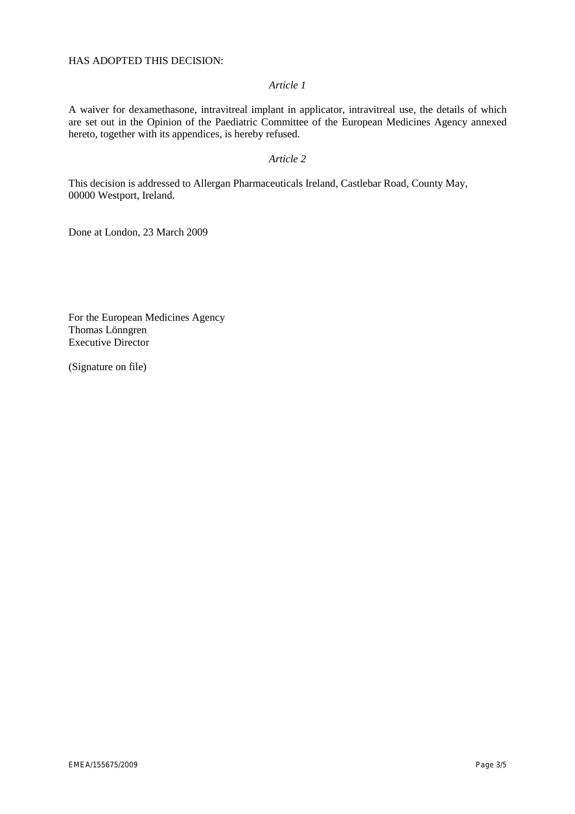# *Article 1*

A waiver for dexamethasone, intravitreal implant in applicator, intravitreal use, the details of which are set out in the Opinion of the Paediatric Committee of the European Medicines Agency annexed hereto, together with its appendices, is hereby refused.

# *Article 2*

This decision is addressed to Allergan Pharmaceuticals Ireland, Castlebar Road, County May, 00000 Westport, Ireland.

Done at London, 23 March 2009

For the European Medicines Agency Thomas Lönngren Executive Director

(Signature on file)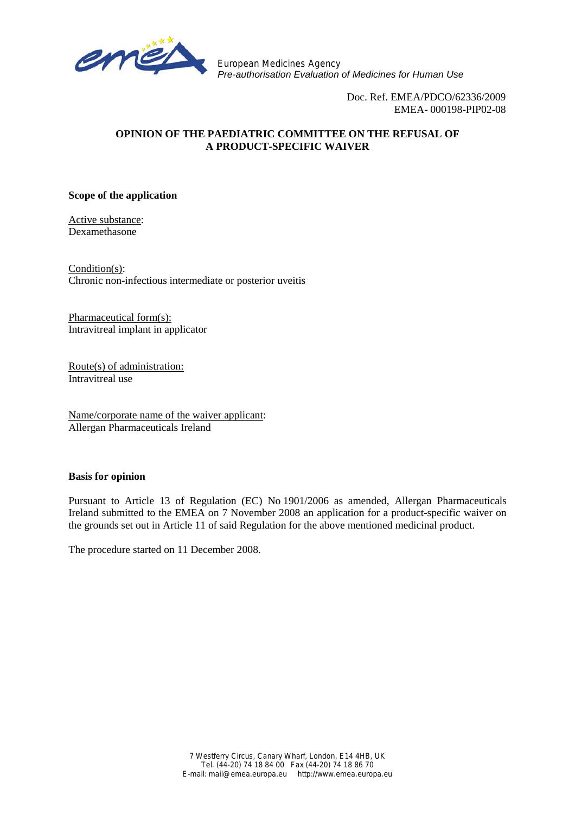

European Medicines Agency *Pre-authorisation Evaluation of Medicines for Human Use*

> Doc. Ref. EMEA/PDCO/62336/2009 EMEA- 000198-PIP02-08

# **OPINION OF THE PAEDIATRIC COMMITTEE ON THE REFUSAL OF A PRODUCT-SPECIFIC WAIVER**

#### **Scope of the application**

Active substance: Dexamethasone

Condition(s): Chronic non-infectious intermediate or posterior uveitis

Pharmaceutical form(s): Intravitreal implant in applicator

Route(s) of administration: Intravitreal use

Name/corporate name of the waiver applicant: Allergan Pharmaceuticals Ireland

#### **Basis for opinion**

Pursuant to Article 13 of Regulation (EC) No 1901/2006 as amended, Allergan Pharmaceuticals Ireland submitted to the EMEA on 7 November 2008 an application for a product-specific waiver on the grounds set out in Article 11 of said Regulation for the above mentioned medicinal product.

The procedure started on 11 December 2008.